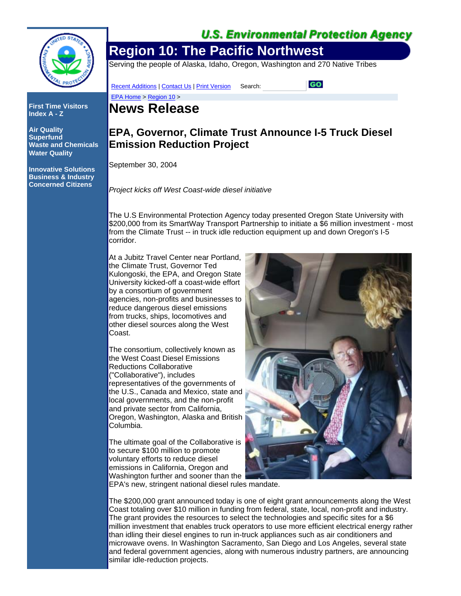

**First Time Visitors Index A - Z**

**Air Quality Superfund Waste and Chemicals Water Quality**

**Innovative Solutions Business & Industry Concerned Citizens**

## **U.S. Environmental Protection Agency**

# **Region 10: The Pacific Northwest**

Serving the people of Alaska, Idaho, Oregon, Washington and 270 Native Tribes

Recent Additions | Contact Us | Print Version Search:

GO

# **News Release**

EPA Home > Region 10 >

### **EPA, Governor, Climate Trust Announce I-5 Truck Diesel Emission Reduction Project**

September 30, 2004

*Project kicks off West Coast-wide diesel initiative*

The U.S Environmental Protection Agency today presented Oregon State University with \$200,000 from its SmartWay Transport Partnership to initiate a \$6 million investment - most from the Climate Trust -- in truck idle reduction equipment up and down Oregon's I-5 corridor.

At a Jubitz Travel Center near Portland, the Climate Trust, Governor Ted Kulongoski, the EPA, and Oregon State University kicked-off a coast-wide effort by a consortium of government agencies, non-profits and businesses to reduce dangerous diesel emissions from trucks, ships, locomotives and other diesel sources along the West Coast.

The consortium, collectively known as the West Coast Diesel Emissions Reductions Collaborative ("Collaborative"), includes representatives of the governments of the U.S., Canada and Mexico, state and local governments, and the non-profit and private sector from California, Oregon, Washington, Alaska and British Columbia.

The ultimate goal of the Collaborative is to secure \$100 million to promote voluntary efforts to reduce diesel emissions in California, Oregon and Washington further and sooner than the



EPA's new, stringent national diesel rules mandate.

The \$200,000 grant announced today is one of eight grant announcements along the West Coast totaling over \$10 million in funding from federal, state, local, non-profit and industry. The grant provides the resources to select the technologies and specific sites for a \$6 million investment that enables truck operators to use more efficient electrical energy rather than idling their diesel engines to run in-truck appliances such as air conditioners and microwave ovens. In Washington Sacramento, San Diego and Los Angeles, several state and federal government agencies, along with numerous industry partners, are announcing similar idle-reduction projects.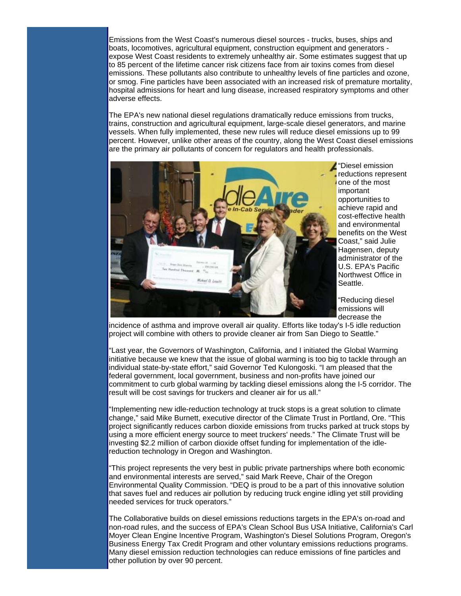Emissions from the West Coast's numerous diesel sources - trucks, buses, ships and boats, locomotives, agricultural equipment, construction equipment and generators expose West Coast residents to extremely unhealthy air. Some estimates suggest that up to 85 percent of the lifetime cancer risk citizens face from air toxins comes from diesel emissions. These pollutants also contribute to unhealthy levels of fine particles and ozone, or smog. Fine particles have been associated with an increased risk of premature mortality, hospital admissions for heart and lung disease, increased respiratory symptoms and other adverse effects.

The EPA's new national diesel regulations dramatically reduce emissions from trucks, trains, construction and agricultural equipment, large-scale diesel generators, and marine vessels. When fully implemented, these new rules will reduce diesel emissions up to 99 percent. However, unlike other areas of the country, along the West Coast diesel emissions are the primary air pollutants of concern for regulators and health professionals.



"Diesel emission reductions represent one of the most important opportunities to achieve rapid and cost-effective health and environmental benefits on the West Coast," said Julie Hagensen, deputy administrator of the U.S. EPA's Pacific Northwest Office in Seattle.

"Reducing diesel emissions will decrease the

incidence of asthma and improve overall air quality. Efforts like today's I-5 idle reduction project will combine with others to provide cleaner air from San Diego to Seattle."

"Last year, the Governors of Washington, California, and I initiated the Global Warming initiative because we knew that the issue of global warming is too big to tackle through an individual state-by-state effort," said Governor Ted Kulongoski. "I am pleased that the federal government, local government, business and non-profits have joined our commitment to curb global warming by tackling diesel emissions along the I-5 corridor. The result will be cost savings for truckers and cleaner air for us all."

"Implementing new idle-reduction technology at truck stops is a great solution to climate change," said Mike Burnett, executive director of the Climate Trust in Portland, Ore. "This project significantly reduces carbon dioxide emissions from trucks parked at truck stops by using a more efficient energy source to meet truckers' needs." The Climate Trust will be investing \$2.2 million of carbon dioxide offset funding for implementation of the idlereduction technology in Oregon and Washington.

"This project represents the very best in public private partnerships where both economic and environmental interests are served," said Mark Reeve, Chair of the Oregon Environmental Quality Commission. "DEQ is proud to be a part of this innovative solution that saves fuel and reduces air pollution by reducing truck engine idling yet still providing needed services for truck operators."

The Collaborative builds on diesel emissions reductions targets in the EPA's on-road and non-road rules, and the success of EPA's Clean School Bus USA Initiative, California's Carl Moyer Clean Engine Incentive Program, Washington's Diesel Solutions Program, Oregon's Business Energy Tax Credit Program and other voluntary emissions reductions programs. Many diesel emission reduction technologies can reduce emissions of fine particles and other pollution by over 90 percent.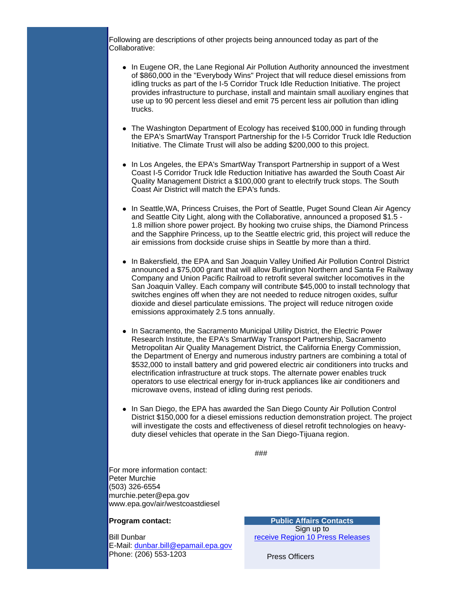Following are descriptions of other projects being announced today as part of the Collaborative:

- In Eugene OR, the Lane Regional Air Pollution Authority announced the investment of \$860,000 in the "Everybody Wins" Project that will reduce diesel emissions from idling trucks as part of the I-5 Corridor Truck Idle Reduction Initiative. The project provides infrastructure to purchase, install and maintain small auxiliary engines that use up to 90 percent less diesel and emit 75 percent less air pollution than idling trucks.
- The Washington Department of Ecology has received \$100,000 in funding through the EPA's SmartWay Transport Partnership for the I-5 Corridor Truck Idle Reduction Initiative. The Climate Trust will also be adding \$200,000 to this project.
- In Los Angeles, the EPA's SmartWay Transport Partnership in support of a West Coast I-5 Corridor Truck Idle Reduction Initiative has awarded the South Coast Air Quality Management District a \$100,000 grant to electrify truck stops. The South Coast Air District will match the EPA's funds.
- In Seattle, WA, Princess Cruises, the Port of Seattle, Puget Sound Clean Air Agency and Seattle City Light, along with the Collaborative, announced a proposed \$1.5 - 1.8 million shore power project. By hooking two cruise ships, the Diamond Princess and the Sapphire Princess, up to the Seattle electric grid, this project will reduce the air emissions from dockside cruise ships in Seattle by more than a third.
- In Bakersfield, the EPA and San Joaquin Valley Unified Air Pollution Control District announced a \$75,000 grant that will allow Burlington Northern and Santa Fe Railway Company and Union Pacific Railroad to retrofit several switcher locomotives in the San Joaquin Valley. Each company will contribute \$45,000 to install technology that switches engines off when they are not needed to reduce nitrogen oxides, sulfur dioxide and diesel particulate emissions. The project will reduce nitrogen oxide emissions approximately 2.5 tons annually.
- In Sacramento, the Sacramento Municipal Utility District, the Electric Power Research Institute, the EPA's SmartWay Transport Partnership, Sacramento Metropolitan Air Quality Management District, the California Energy Commission, the Department of Energy and numerous industry partners are combining a total of \$532,000 to install battery and grid powered electric air conditioners into trucks and electrification infrastructure at truck stops. The alternate power enables truck operators to use electrical energy for in-truck appliances like air conditioners and microwave ovens, instead of idling during rest periods.
- In San Diego, the EPA has awarded the San Diego County Air Pollution Control District \$150,000 for a diesel emissions reduction demonstration project. The project will investigate the costs and effectiveness of diesel retrofit technologies on heavyduty diesel vehicles that operate in the San Diego-Tijuana region.

###

For more information contact: Peter Murchie (503) 326-6554 murchie.peter@epa.gov www.epa.gov/air/westcoastdiesel

#### **Program contact:**

Bill Dunbar E-Mail: dunbar.bill@epamail.epa.gov Phone: (206) 553-1203

**Public Affairs Contacts** Sign up to receive Region 10 Press Releases

Press Officers